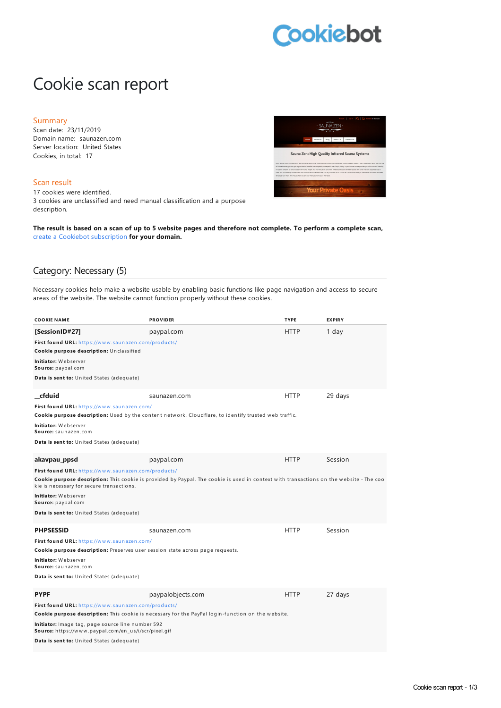# Cookiebot

## Cookie scan report

#### Summary

Scan date: 23/11/2019 Domain name: saunazen.com Server location: United States Cookies, in total: 17

#### Scan result

17 cookies were identified. 3 cookies are unclassified and need manual classification and a purpose description.



The result is based on a scan of up to 5 website pages and therefore not complete. To perform a complete scan, create a Cookiebot [subscription](https://manage.cookiebot.com/goto/signup) **for your domain.**

#### Category: Necessary (5)

Necessary cookies help make a website usable by enabling basic functions like page navigation and access to secure areas of the website. The website cannot function properly without these cookies.

| <b>COOKIE NAME</b>                                                                                        | <b>PROVIDER</b>                                                                                                                         | <b>TYPE</b> | <b>EXPIRY</b> |
|-----------------------------------------------------------------------------------------------------------|-----------------------------------------------------------------------------------------------------------------------------------------|-------------|---------------|
| [SessionID#27]                                                                                            | paypal.com                                                                                                                              | <b>HTTP</b> | 1 day         |
| First found URL: https://www.saunazen.com/products/<br>Cookie purpose description: Unclassified           |                                                                                                                                         |             |               |
| <b>Initiator:</b> Webserver<br>Source: paypal.com                                                         |                                                                                                                                         |             |               |
| Data is sent to: United States (adequate)                                                                 |                                                                                                                                         |             |               |
| cfduid                                                                                                    | saunazen.com                                                                                                                            | <b>HTTP</b> | 29 days       |
| First found URL: https://www.saunazen.com/                                                                | Cookie purpose description: Used by the content network, Cloudflare, to identify trusted web traffic.                                   |             |               |
| <b>Initiator:</b> Webserver<br>Source: saunazen.com                                                       |                                                                                                                                         |             |               |
| Data is sent to: United States (adequate)                                                                 |                                                                                                                                         |             |               |
| akavpau_ppsd                                                                                              | paypal.com                                                                                                                              | <b>HTTP</b> | Session       |
| First found URL: https://www.saunazen.com/products/<br>kie is necessary for secure transactions.          | Cookie purpose description: This cookie is provided by Paypal. The cookie is used in context with transactions on the website - The coo |             |               |
| <b>Initiator:</b> Webserver<br>Source: paypal.com                                                         |                                                                                                                                         |             |               |
| Data is sent to: United States (adequate)                                                                 |                                                                                                                                         |             |               |
| <b>PHPSESSID</b>                                                                                          | saunazen.com                                                                                                                            | <b>HTTP</b> | Session       |
| First found URL: https://www.saunazen.com/                                                                |                                                                                                                                         |             |               |
| Cookie purpose description: Preserves user session state across page requests.                            |                                                                                                                                         |             |               |
| <b>Initiator:</b> Webserver<br>Source: saunazen.com                                                       |                                                                                                                                         |             |               |
| Data is sent to: United States (adequate)                                                                 |                                                                                                                                         |             |               |
| <b>PYPF</b>                                                                                               | paypalobjects.com                                                                                                                       | <b>HTTP</b> | 27 days       |
| First found URL: https://www.saunazen.com/products/                                                       | Cookie purpose description: This cookie is necessary for the PayPal login-function on the website.                                      |             |               |
| Initiator: Image tag, page source line number 592<br>Source: https://www.paypal.com/en_us/i/scr/pixel.gif |                                                                                                                                         |             |               |
| Data is sent to: United States (adequate)                                                                 |                                                                                                                                         |             |               |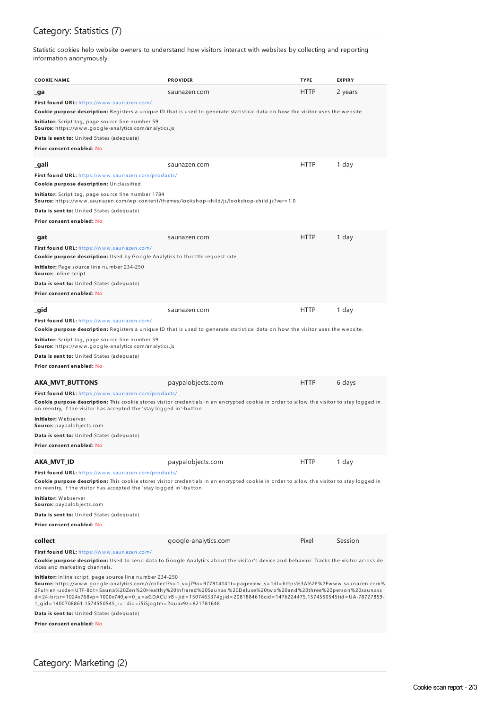### Category: Statistics (7)

Statistic cookies help website owners to understand how visitors interact with websites by collecting and reporting information anonymously.

| COOKIE NAME                                                                                                                                                                                                                                                                                 | <b>PROVIDER</b>                                                                                                                                                                                                                                                                                                                                                                                                                                                                                                                     | <b>TYPE</b> | <b>EXPIRY</b> |
|---------------------------------------------------------------------------------------------------------------------------------------------------------------------------------------------------------------------------------------------------------------------------------------------|-------------------------------------------------------------------------------------------------------------------------------------------------------------------------------------------------------------------------------------------------------------------------------------------------------------------------------------------------------------------------------------------------------------------------------------------------------------------------------------------------------------------------------------|-------------|---------------|
| _ga                                                                                                                                                                                                                                                                                         | saunazen.com                                                                                                                                                                                                                                                                                                                                                                                                                                                                                                                        | HTTP        | 2 years       |
| First found URL: https://www.saunazen.com/<br>Initiator: Script tag, page source line number 59<br>Source: https://www.google-analytics.com/analytics.js<br><b>Data is sent to:</b> United States (adequate)<br>Prior consent enabled: No                                                   | <b>Cookie purpose description:</b> Registers a unique ID that is used to generate statistical data on how the visitor uses the website.                                                                                                                                                                                                                                                                                                                                                                                             |             |               |
| _gali<br>First found URL: https://www.saunazen.com/products/<br>Cookie purpose description: Unclassified<br>Initiator: Script tag, page source line number 1784<br>Data is sent to: United States (adequate)<br>Prior consent enabled: No                                                   | saunazen.com<br><b>Source:</b> https://www.saunazen.com/wp-content/themes/lookshop-child/js/lookshop-child.js?ver=1.0                                                                                                                                                                                                                                                                                                                                                                                                               | <b>HTTP</b> | 1 day         |
| _gat<br>First found URL: https://www.saunazen.com/<br><b>Cookie purpose description:</b> Used by Google Analytics to throttle request rate<br>Initiator: Page source line number 234-250<br>Source: Inline script<br>Data is sent to: United States (adequate)<br>Prior consent enabled: No | saunazen.com                                                                                                                                                                                                                                                                                                                                                                                                                                                                                                                        | <b>HTTP</b> | 1 day         |
| _gid                                                                                                                                                                                                                                                                                        | saunazen.com                                                                                                                                                                                                                                                                                                                                                                                                                                                                                                                        | <b>HTTP</b> | 1 day         |
| First found URL: https://www.saunazen.com/<br>Initiator: Script tag, page source line number 59<br>Source: https://www.google-analytics.com/analytics.js<br><b>Data is sent to:</b> United States (adequate)<br>Prior consent enabled: No<br>AKA MVT BUTTONS                                | <b>Cookie purpose description:</b> Registers a unique ID that is used to generate statistical data on how the visitor uses the website.<br>paypalobjects.com                                                                                                                                                                                                                                                                                                                                                                        | <b>HTTP</b> | 6 days        |
| First found URL: https://www.saunazen.com/products/<br>on reentry, if the visitor has accepted the 'stay logged in'-button.<br>Initiator: Webserver<br>Source: paypalobjects.com<br>Data is sent to: United States (adequate)<br>Prior consent enabled: No                                  | <b>Cookie purpose description:</b> This cookie stores visitor credentials in an encrypted cookie in order to allow the visitor to stay logged in                                                                                                                                                                                                                                                                                                                                                                                    |             |               |
| AKA MVT ID                                                                                                                                                                                                                                                                                  | paypalobjects.com                                                                                                                                                                                                                                                                                                                                                                                                                                                                                                                   | <b>HTTP</b> | 1 day         |
| First found URL: https://www.saunazen.com/products/<br>on reentry, if the visitor has accepted the 'stay logged in'-button.<br><b>Initiator:</b> Webserver<br>Source: paypalobjects.com<br>Data is sent to: United States (adequate)<br>Prior consent enabled: No                           | Cookie purpose description: This cookie stores visitor credentials in an encrypted cookie in order to allow the visitor to stay logged in                                                                                                                                                                                                                                                                                                                                                                                           |             |               |
| collect                                                                                                                                                                                                                                                                                     | google-analytics.com                                                                                                                                                                                                                                                                                                                                                                                                                                                                                                                | Pixel       | Session       |
| First found URL: https://www.saunazen.com/<br>vices and marketing channels.<br>Initiator: Inline script, page source line number 234-250<br>1_gid = 1400708861.1574550545_r= 1did = i5iSjogtm= 2ouav9z= 821781648<br>Data is sent to: United States (adequate)                              | Cookie purpose description: Used to send data to Google Analytics about the visitor's device and behavior. Tracks the visitor across de<br>Source: https://www.google-analytics.com/r/collect?v=1_v=j79a=977814141t=pageview_s=1dl=https%3A%2F%2Fwww.saunazen.com%<br>2Ful=en-usde= UTF-8dt= Sauna%20Zen%20Healthy%20Infrared%20Saunas.%20Deluxe%20two%20and%20three%20person%20saunass<br>d = 24-bitsr= 1024x768vp = 1000x740je = 0_u = aGDACUIrB ~ jid = 1507463374gjid = 2081884616cid = 1476224475.1574550545tid = UA-78727859- |             |               |
| Prior consent enabled: No                                                                                                                                                                                                                                                                   |                                                                                                                                                                                                                                                                                                                                                                                                                                                                                                                                     |             |               |